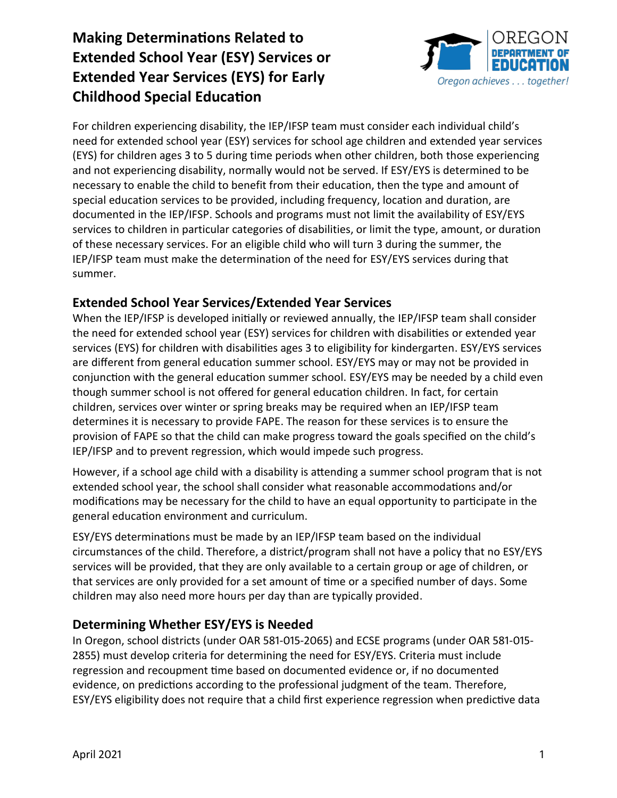

For children experiencing disability, the IEP/IFSP team must consider each individual child's need for extended school year (ESY) services for school age children and extended year services (EYS) for children ages 3 to 5 during time periods when other children, both those experiencing and not experiencing disability, normally would not be served. If ESY/EYS is determined to be necessary to enable the child to benefit from their education, then the type and amount of special education services to be provided, including frequency, location and duration, are documented in the IEP/IFSP. Schools and programs must not limit the availability of ESY/EYS services to children in particular categories of disabilities, or limit the type, amount, or duration of these necessary services. For an eligible child who will turn 3 during the summer, the IEP/IFSP team must make the determination of the need for ESY/EYS services during that summer.

### **Extended School Year Services/Extended Year Services**

When the IEP/IFSP is developed initially or reviewed annually, the IEP/IFSP team shall consider the need for extended school year (ESY) services for children with disabilities or extended year services (EYS) for children with disabilities ages 3 to eligibility for kindergarten. ESY/EYS services are different from general education summer school. ESY/EYS may or may not be provided in conjunction with the general education summer school. ESY/EYS may be needed by a child even though summer school is not offered for general education children. In fact, for certain children, services over winter or spring breaks may be required when an IEP/IFSP team determines it is necessary to provide FAPE. The reason for these services is to ensure the provision of FAPE so that the child can make progress toward the goals specified on the child's IEP/IFSP and to prevent regression, which would impede such progress.

However, if a school age child with a disability is attending a summer school program that is not extended school year, the school shall consider what reasonable accommodations and/or modifications may be necessary for the child to have an equal opportunity to participate in the general education environment and curriculum.

ESY/EYS determinations must be made by an IEP/IFSP team based on the individual circumstances of the child. Therefore, a district/program shall not have a policy that no ESY/EYS services will be provided, that they are only available to a certain group or age of children, or that services are only provided for a set amount of time or a specified number of days. Some children may also need more hours per day than are typically provided.

### **Determining Whether ESY/EYS is Needed**

In Oregon, school districts (under OAR 581-015-2065) and ECSE programs (under OAR 581-015- 2855) must develop criteria for determining the need for ESY/EYS. Criteria must include regression and recoupment time based on documented evidence or, if no documented evidence, on predictions according to the professional judgment of the team. Therefore, ESY/EYS eligibility does not require that a child first experience regression when predictive data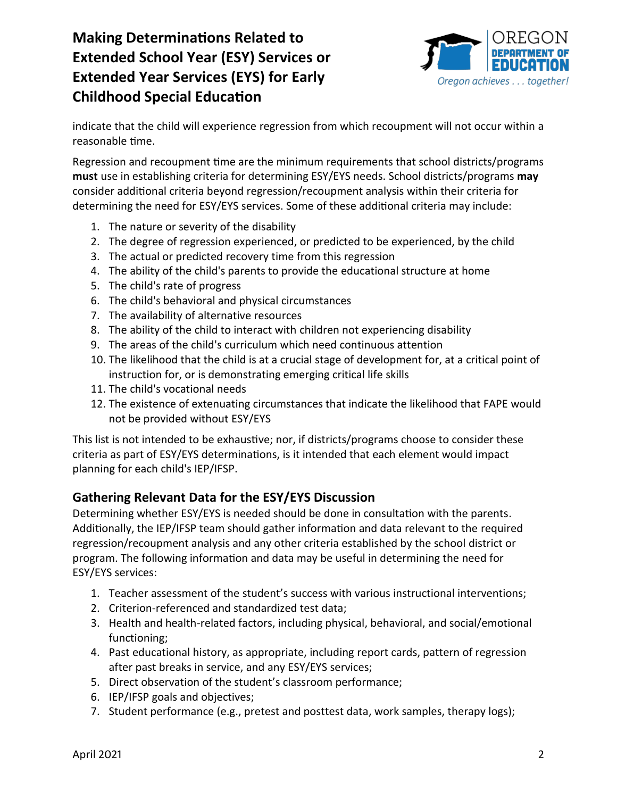

indicate that the child will experience regression from which recoupment will not occur within a reasonable time.

Regression and recoupment time are the minimum requirements that school districts/programs **must** use in establishing criteria for determining ESY/EYS needs. School districts/programs **may** consider additional criteria beyond regression/recoupment analysis within their criteria for determining the need for ESY/EYS services. Some of these additional criteria may include:

- 1. The nature or severity of the disability
- 2. The degree of regression experienced, or predicted to be experienced, by the child
- 3. The actual or predicted recovery time from this regression
- 4. The ability of the child's parents to provide the educational structure at home
- 5. The child's rate of progress
- 6. The child's behavioral and physical circumstances
- 7. The availability of alternative resources
- 8. The ability of the child to interact with children not experiencing disability
- 9. The areas of the child's curriculum which need continuous attention
- 10. The likelihood that the child is at a crucial stage of development for, at a critical point of instruction for, or is demonstrating emerging critical life skills
- 11. The child's vocational needs
- 12. The existence of extenuating circumstances that indicate the likelihood that FAPE would not be provided without ESY/EYS

This list is not intended to be exhaustive; nor, if districts/programs choose to consider these criteria as part of ESY/EYS determinations, is it intended that each element would impact planning for each child's IEP/IFSP.

### **Gathering Relevant Data for the ESY/EYS Discussion**

Determining whether ESY/EYS is needed should be done in consultation with the parents. Additionally, the IEP/IFSP team should gather information and data relevant to the required regression/recoupment analysis and any other criteria established by the school district or program. The following information and data may be useful in determining the need for ESY/EYS services:

- 1. Teacher assessment of the student's success with various instructional interventions;
- 2. Criterion-referenced and standardized test data;
- 3. Health and health-related factors, including physical, behavioral, and social/emotional functioning;
- 4. Past educational history, as appropriate, including report cards, pattern of regression after past breaks in service, and any ESY/EYS services;
- 5. Direct observation of the student's classroom performance;
- 6. IEP/IFSP goals and objectives;
- 7. Student performance (e.g., pretest and posttest data, work samples, therapy logs);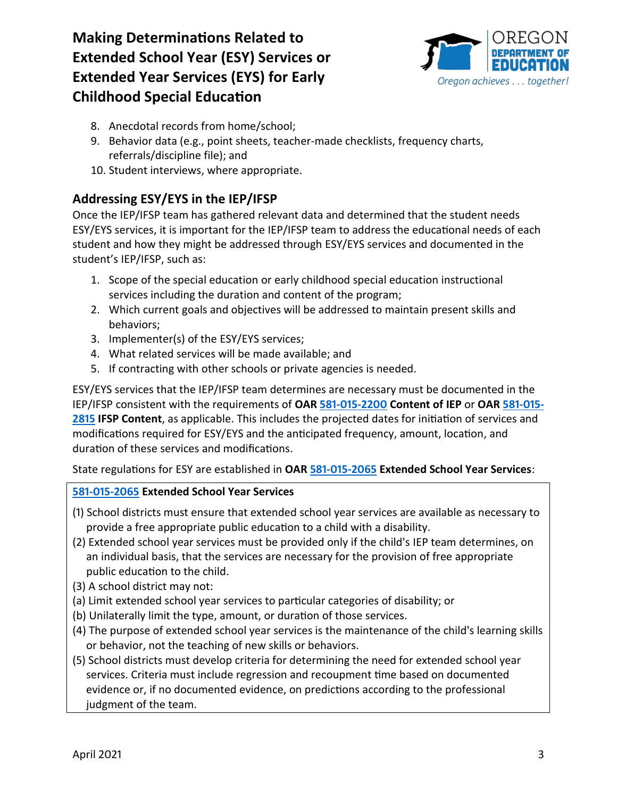

- 8. Anecdotal records from home/school;
- 9. Behavior data (e.g., point sheets, teacher-made checklists, frequency charts, referrals/discipline file); and
- 10. Student interviews, where appropriate.

## **Addressing ESY/EYS in the IEP/IFSP**

Once the IEP/IFSP team has gathered relevant data and determined that the student needs ESY/EYS services, it is important for the IEP/IFSP team to address the educational needs of each student and how they might be addressed through ESY/EYS services and documented in the student's IEP/IFSP, such as:

- 1. Scope of the special education or early childhood special education instructional services including the duration and content of the program;
- 2. Which current goals and objectives will be addressed to maintain present skills and behaviors;
- 3. Implementer(s) of the ESY/EYS services;
- 4. What related services will be made available; and
- 5. If contracting with other schools or private agencies is needed.

ESY/EYS services that the IEP/IFSP team determines are necessary must be documented in the IEP/IFSP consistent with the requirements of **OAR [581-015-2200](https://secure.sos.state.or.us/oard/viewSingleRule.action?ruleVrsnRsn=143363) Content of IEP** or **OAR [581-015-](https://secure.sos.state.or.us/oard/viewSingleRule.action?ruleVrsnRsn=143819) [2815](https://secure.sos.state.or.us/oard/viewSingleRule.action?ruleVrsnRsn=143819) IFSP Content**, as applicable. This includes the projected dates for initiation of services and modifications required for ESY/EYS and the anticipated frequency, amount, location, and duration of these services and modifications.

State regulations for ESY are established in **OA[R 581-015-2065](https://secure.sos.state.or.us/oard/viewSingleRule.action?ruleVrsnRsn=143188) Extended School Year Services**:

### **[581-015-2065](https://secure.sos.state.or.us/oard/viewSingleRule.action?ruleVrsnRsn=143188) Extended School Year Services**

- (1) School districts must ensure that extended school year services are available as necessary to provide a free appropriate public education to a child with a disability.
- (2) Extended school year services must be provided only if the child's IEP team determines, on an individual basis, that the services are necessary for the provision of free appropriate public education to the child.
- (3) A school district may not:
- (a) Limit extended school year services to particular categories of disability; or
- (b) Unilaterally limit the type, amount, or duration of those services.
- (4) The purpose of extended school year services is the maintenance of the child's learning skills or behavior, not the teaching of new skills or behaviors.
- (5) School districts must develop criteria for determining the need for extended school year services. Criteria must include regression and recoupment time based on documented evidence or, if no documented evidence, on predictions according to the professional judgment of the team.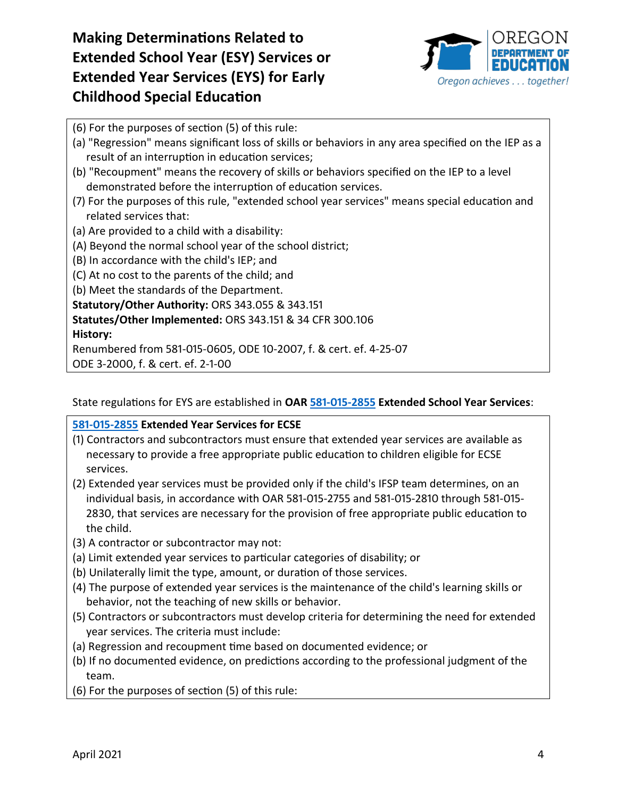

- (6) For the purposes of section (5) of this rule:
- (a) "Regression" means significant loss of skills or behaviors in any area specified on the IEP as a result of an interruption in education services;
- (b) "Recoupment" means the recovery of skills or behaviors specified on the IEP to a level demonstrated before the interruption of education services.
- (7) For the purposes of this rule, "extended school year services" means special education and related services that:
- (a) Are provided to a child with a disability:
- (A) Beyond the normal school year of the school district;
- (B) In accordance with the child's IEP; and
- (C) At no cost to the parents of the child; and
- (b) Meet the standards of the Department.

**Statutory/Other Authority:** ORS 343.055 & 343.151

### **Statutes/Other Implemented:** ORS 343.151 & 34 CFR 300.106

#### **History:**

Renumbered from 581-015-0605, ODE 10-2007, f. & cert. ef. 4-25-07

ODE 3-2000, f. & cert. ef. 2-1-00

State regulations for EYS are established in **OA[R 581-015-2855](https://secure.sos.state.or.us/oard/viewSingleRule.action?ruleVrsnRsn=143858) Extended School Year Services**:

**[581-015-2855](https://secure.sos.state.or.us/oard/viewSingleRule.action?ruleVrsnRsn=143858) Extended Year Services for ECSE**

- (1) Contractors and subcontractors must ensure that extended year services are available as necessary to provide a free appropriate public education to children eligible for ECSE services.
- (2) Extended year services must be provided only if the child's IFSP team determines, on an individual basis, in accordance with OAR 581-015-2755 and 581-015-2810 through 581-015- 2830, that services are necessary for the provision of free appropriate public education to the child.
- (3) A contractor or subcontractor may not:
- (a) Limit extended year services to particular categories of disability; or
- (b) Unilaterally limit the type, amount, or duration of those services.
- (4) The purpose of extended year services is the maintenance of the child's learning skills or behavior, not the teaching of new skills or behavior.
- (5) Contractors or subcontractors must develop criteria for determining the need for extended year services. The criteria must include:
- (a) Regression and recoupment time based on documented evidence; or
- (b) If no documented evidence, on predictions according to the professional judgment of the team.
- (6) For the purposes of section (5) of this rule: